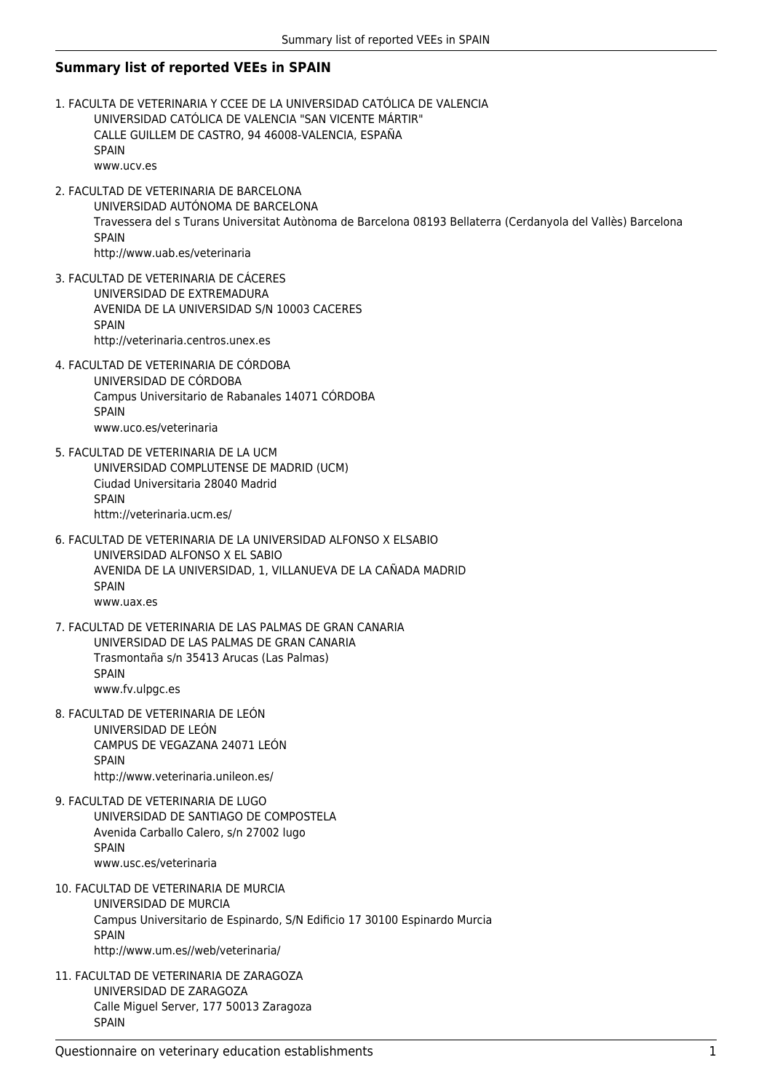## **Summary list of reported VEEs in SPAIN**

- 1. FACULTA DE VETERINARIA Y CCEE DE LA UNIVERSIDAD CATÓLICA DE VALENCIA UNIVERSIDAD CATÓLICA DE VALENCIA "SAN VICENTE MÁRTIR" CALLE GUILLEM DE CASTRO, 94 46008-VALENCIA, ESPAÑA SPAIN www.ucv.es
- 2. FACULTAD DE VETERINARIA DE BARCELONA UNIVERSIDAD AUTÓNOMA DE BARCELONA Travessera del s Turans Universitat Autònoma de Barcelona 08193 Bellaterra (Cerdanyola del Vallès) Barcelona **SPAIN** http://www.uab.es/veterinaria
- 3. FACULTAD DE VETERINARIA DE CÁCERES UNIVERSIDAD DE EXTREMADURA AVENIDA DE LA UNIVERSIDAD S/N 10003 CACERES **SPAIN** http://veterinaria.centros.unex.es
- 4. FACULTAD DE VETERINARIA DE CÓRDOBA UNIVERSIDAD DE CÓRDOBA Campus Universitario de Rabanales 14071 CÓRDOBA SPAIN www.uco.es/veterinaria
- 5. FACULTAD DE VETERINARIA DE LA UCM UNIVERSIDAD COMPLUTENSE DE MADRID (UCM) Ciudad Universitaria 28040 Madrid SPAIN httm://veterinaria.ucm.es/
- 6. FACULTAD DE VETERINARIA DE LA UNIVERSIDAD ALFONSO X ELSABIO UNIVERSIDAD ALFONSO X EL SABIO AVENIDA DE LA UNIVERSIDAD, 1, VILLANUEVA DE LA CAÑADA MADRID SPAIN www.uax.es
- 7. FACULTAD DE VETERINARIA DE LAS PALMAS DE GRAN CANARIA UNIVERSIDAD DE LAS PALMAS DE GRAN CANARIA Trasmontaña s/n 35413 Arucas (Las Palmas) SPAIN www.fv.ulpgc.es
- 8. FACULTAD DE VETERINARIA DE LEÓN UNIVERSIDAD DE LEÓN CAMPUS DE VEGAZANA 24071 LEÓN **SPAIN** http://www.veterinaria.unileon.es/
- 9. FACULTAD DE VETERINARIA DE LUGO UNIVERSIDAD DE SANTIAGO DE COMPOSTELA Avenida Carballo Calero, s/n 27002 lugo SPAIN www.usc.es/veterinaria
- 10. FACULTAD DE VETERINARIA DE MURCIA UNIVERSIDAD DE MURCIA Campus Universitario de Espinardo, S/N Edificio 17 30100 Espinardo Murcia SPAIN http://www.um.es//web/veterinaria/
- 11. FACULTAD DE VETERINARIA DE ZARAGOZA UNIVERSIDAD DE ZARAGOZA Calle Miguel Server, 177 50013 Zaragoza SPAIN